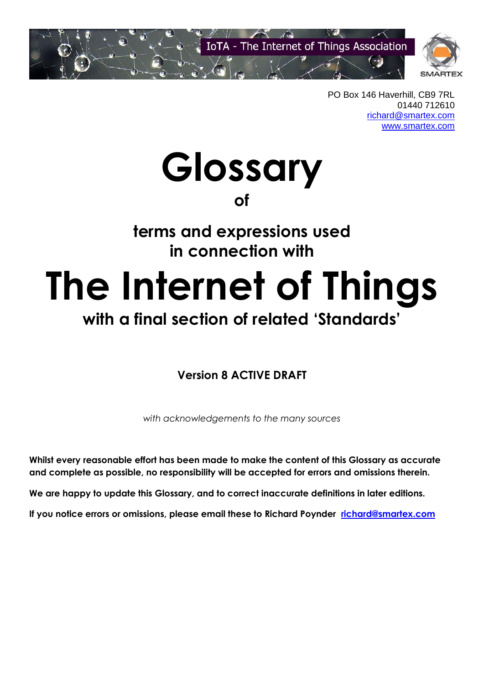

PO Box 146 Haverhill, CB9 7RL 01440 712610 [richard@smartex.com](mailto:richard@smartex.com) [www.smartex.com](http://www.smartex.com/)

**Glossary**

**of** 

# **terms and expressions used in connection with**

# **The Internet of Things**

# **with a final section of related 'Standards'**

#### **Version 8 ACTIVE DRAFT**

*with acknowledgements to the many sources*

**Whilst every reasonable effort has been made to make the content of this Glossary as accurate and complete as possible, no responsibility will be accepted for errors and omissions therein.**

**We are happy to update this Glossary, and to correct inaccurate definitions in later editions.** 

**If you notice errors or omissions, please email these to Richard Poynder [richard@smartex.com](mailto:richard@smartex.com)**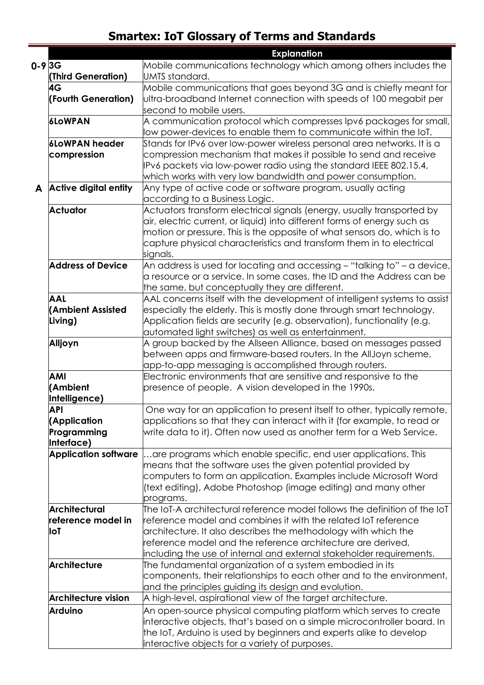|              |                             | <b>Explanation</b>                                                             |
|--------------|-----------------------------|--------------------------------------------------------------------------------|
| $0 - 98 = 3$ |                             | Mobile communications technology which among others includes the               |
|              | (Third Generation)          | UMTS standard.                                                                 |
|              | 4G                          | Mobile communications that goes beyond 3G and is chiefly meant for             |
|              | (Fourth Generation)         | Ultra-broadband Internet connection with speeds of 100 megabit per             |
|              |                             | second to mobile users.                                                        |
|              | <b>6LoWPAN</b>              | A communication protocol which compresses Ipv6 packages for small,             |
|              |                             | ow power-devices to enable them to communicate within the loT.                 |
|              | <b>6LoWPAN header</b>       | $\beta$ tands for IPv6 over low-power wireless personal area networks. It is a |
|              | compression                 | compression mechanism that makes it possible to send and receive               |
|              |                             | IPv6 packets via low-power radio using the standard IEEE 802.15.4,             |
|              |                             | which works with very low bandwidth and power consumption.                     |
|              | A Active digital entity     | Any type of active code or software program, usually acting                    |
|              |                             | according to a Business Logic.                                                 |
|              | <b>Actuator</b>             | Actuators transform electrical signals (energy, usually transported by         |
|              |                             | air, electric current, or liquid) into different forms of energy such as       |
|              |                             | motion or pressure. This is the opposite of what sensors do, which is to       |
|              |                             | capture physical characteristics and transform them in to electrical           |
|              |                             | signals.                                                                       |
|              | <b>Address of Device</b>    | An address is used for locating and accessing – "talking to" – a device,       |
|              |                             | $\alpha$ resource or a service. In some cases, the ID and the Address can be   |
|              |                             | the same, but conceptually they are different.                                 |
|              | AAL                         | AAL concerns itself with the development of intelligent systems to assist      |
|              | (Ambient Assisted           | especially the elderly. This is mostly done through smart technology.          |
|              | Living)                     | Application fields are security (e.g. observation), functionality (e.g.        |
|              |                             | automated light switches) as well as entertainment.                            |
|              | Alljoyn                     | A group backed by the Allseen Alliance, based on messages passed               |
|              |                             | between apps and firmware-based routers. In the AllJoyn scheme,                |
|              |                             | app-to-app messaging is accomplished through routers.                          |
|              | <b>AMI</b>                  | Electronic environments that are sensitive and responsive to the               |
|              | (Ambient                    | presence of people. A vision developed in the 1990s.                           |
|              | Intelligence)               |                                                                                |
|              | API                         | One way for an application to present itself to other, typically remote        |
|              | (Application                | applications so that they can interact with it (for example, to read or        |
|              | Programming                 | write data to it). Often now used as another term for a Web Service.           |
|              | Interface)                  |                                                                                |
|              | <b>Application software</b> | are programs which enable specific, end user applications. This                |
|              |                             | means that the software uses the given potential provided by                   |
|              |                             | computers to form an application. Examples include Microsoft Word              |
|              |                             | (text editing), Adobe Photoshop (image editing) and many other                 |
|              |                             | programs.                                                                      |
|              | <b>Architectural</b>        | The IoT-A architectural reference model follows the definition of the IoT $\,$ |
|              | reference model in          | reference model and combines it with the related IoT reference                 |
|              | loT                         | architecture. It also describes the methodology with which the                 |
|              |                             | eference model and the reference architecture are derived,                     |
|              |                             | including the use of internal and external stakeholder requirements.           |
|              | <b>Architecture</b>         | The fundamental organization of a system embodied in its                       |
|              |                             | components, their relationships to each other and to the environment,          |
|              |                             | and the principles guiding its design and evolution.                           |
|              | <b>Architecture vision</b>  | A high-level, aspirational view of the target architecture.                    |
|              | <b>Arduino</b>              | An open-source physical computing platform which serves to create              |
|              |                             | interactive objects, that's based on a simple microcontroller board. In        |
|              |                             | the IoT, Arduino is used by beginners and experts alike to develop             |
|              |                             | interactive objects for a variety of purposes.                                 |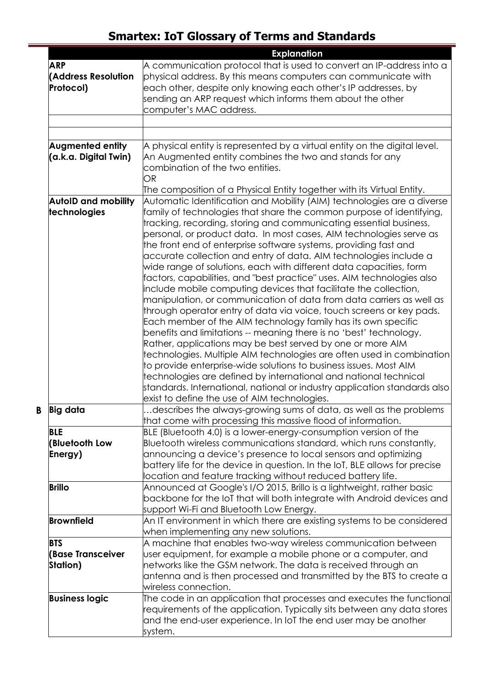|                            | <b>Explanation</b>                                                                                                                     |
|----------------------------|----------------------------------------------------------------------------------------------------------------------------------------|
| <b>ARP</b>                 | $\,$ A communication protocol that is used to convert an IP-address into a                                                             |
| <b>(Address Resolution</b> | physical address. By this means computers can communicate with                                                                         |
| Protocol)                  | each other, despite only knowing each other's IP addresses, by                                                                         |
|                            | sending an ARP request which informs them about the other                                                                              |
|                            | computer's MAC address.                                                                                                                |
|                            |                                                                                                                                        |
|                            |                                                                                                                                        |
| <b>Augmented entity</b>    | $\,$ A physical entity is represented by a virtual entity on the digital level.                                                        |
| (a.k.a. Digital Twin)      | An Augmented entity combines the two and stands for any                                                                                |
|                            | combination of the two entities.                                                                                                       |
|                            | OR                                                                                                                                     |
|                            | The composition of a Physical Entity together with its Virtual Entity.                                                                 |
| <b>AutoID and mobility</b> | Automatic Identification and Mobility (AIM) technologies are a diverse                                                                 |
| technologies               | family of technologies that share the common purpose of identifying,                                                                   |
|                            | tracking, recording, storing and communicating essential business,                                                                     |
|                            | personal, or product data. In most cases, AIM technologies serve as                                                                    |
|                            | the front end of enterprise software systems, providing fast and                                                                       |
|                            | accurate collection and entry of data. AIM technologies include a                                                                      |
|                            | wide range of solutions, each with different data capacities, form                                                                     |
|                            | factors, capabilities, and "best practice" uses. AIM technologies also                                                                 |
|                            | include mobile computing devices that facilitate the collection,                                                                       |
|                            | manipulation, or communication of data from data carriers as well as                                                                   |
|                            | through operator entry of data via voice, touch screens or key pads.                                                                   |
|                            | Each member of the AIM technology family has its own specific                                                                          |
|                            | benefits and limitations -- meaning there is no 'best' technology.                                                                     |
|                            | Rather, applications may be best served by one or more AIM                                                                             |
|                            | technologies. Multiple AIM technologies are often used in combination                                                                  |
|                            | to provide enterprise-wide solutions to business issues. Most AIM                                                                      |
|                            | technologies are defined by international and national technical                                                                       |
|                            | standards. International, national or industry application standards also                                                              |
|                            | exist to define the use of AIM technologies.                                                                                           |
| <b>Big data</b>            | describes the always-growing sums of data, as well as the problems                                                                     |
| <b>BLE</b>                 | that come with processing this massive flood of information.                                                                           |
| <b>(Bluetooth Low</b>      | BLE (Bluetooth 4.0) is a lower-energy-consumption version of the<br>Bluetooth wireless communications standard, which runs constantly, |
| Energy)                    | announcing a device's presence to local sensors and optimizing                                                                         |
|                            | battery life for the device in question. In the IoT, BLE allows for precise                                                            |
|                            | ocation and feature tracking without reduced battery life.                                                                             |
| <b>Brillo</b>              | Announced at Google's I/O 2015, Brillo is a lightweight, rather basic                                                                  |
|                            | backbone for the IoT that will both integrate with Android devices and                                                                 |
|                            | support Wi-Fi and Bluetooth Low Energy.                                                                                                |
| Brownfield                 | An IT environment in which there are existing systems to be considered                                                                 |
|                            | when implementing any new solutions.                                                                                                   |
| <b>BTS</b>                 | A machine that enables two-way wireless communication between                                                                          |
| <b>(Base Transceiver</b>   | user equipment, for example a mobile phone or a computer, and                                                                          |
| Station)                   | networks like the GSM network. The data is received through an                                                                         |
|                            | antenna and is then processed and transmitted by the BTS to create a                                                                   |
|                            | wireless connection.                                                                                                                   |
| <b>Business logic</b>      | The code in an application that processes and executes the functional                                                                  |
|                            | requirements of the application. Typically sits between any data stores                                                                |
|                            | and the end-user experience. In loT the end user may be another                                                                        |
|                            | system.                                                                                                                                |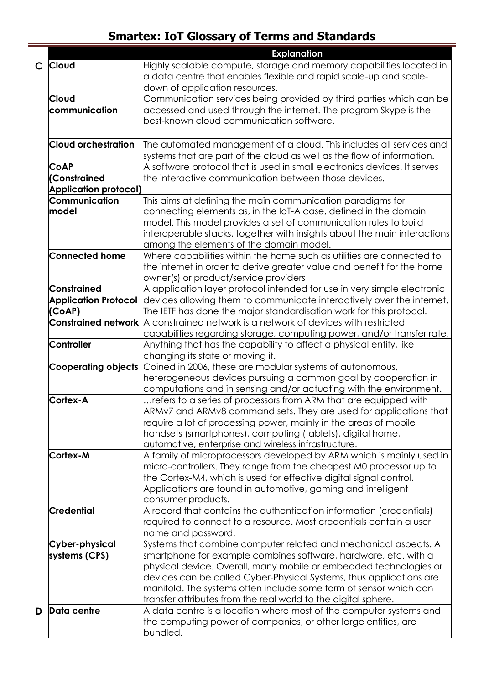|              |                              | <b>Explanation</b>                                                                         |
|--------------|------------------------------|--------------------------------------------------------------------------------------------|
| $\mathsf{C}$ | <b>Cloud</b>                 | Highly scalable compute, storage and memory capabilities located in                        |
|              |                              | a data centre that enables flexible and rapid scale-up and scale-                          |
|              |                              | down of application resources.                                                             |
|              | <b>Cloud</b>                 | Communication services being provided by third parties which can be                        |
|              | communication                | accessed and used through the internet. The program Skype is the                           |
|              |                              | best-known cloud communication software.                                                   |
|              |                              |                                                                                            |
|              | <b>Cloud orchestration</b>   | The automated management of a cloud. This includes all services and                        |
|              |                              | systems that are part of the cloud as well as the flow of information.                     |
|              | <b>CoAP</b>                  | A software protocol that is used in small electronics devices. It serves                   |
|              | (Constrained                 | the interactive communication between those devices.                                       |
|              | <b>Application protocol)</b> |                                                                                            |
|              | <b>Communication</b>         | This aims at defining the main communication paradigms for                                 |
|              | model                        | connecting elements as, in the IoT-A case, defined in the domain                           |
|              |                              | model. This model provides a set of communication rules to build                           |
|              |                              | interoperable stacks, together with insights about the main interactions                   |
|              |                              | among the elements of the domain model.                                                    |
|              | <b>Connected home</b>        | Where capabilities within the home such as utilities are connected to                      |
|              |                              | the internet in order to derive greater value and benefit for the home                     |
|              |                              | owner(s) or product/service providers                                                      |
|              | <b>Constrained</b>           | A application layer protocol intended for use in very simple electronic                    |
|              | <b>Application Protocol</b>  | devices allowing them to communicate interactively over the internet.                      |
|              | (CoAP)                       | The IETF has done the major standardisation work for this protocol.                        |
|              |                              | <b>Constrained network</b> $A$ constrained network is a network of devices with restricted |
|              |                              | capabilities regarding storage, computing power, and/or transfer rate.                     |
|              | Controller                   | Anything that has the capability to affect a physical entity, like                         |
|              |                              | changing its state or moving it.                                                           |
|              |                              | Cooperating objects Coined in 2006, these are modular systems of autonomous,               |
|              |                              | heterogeneous devices pursuing a common goal by cooperation in                             |
|              |                              | computations and in sensing and/or actuating with the environment.                         |
|              | Cortex-A                     | refers to a series of processors from ARM that are equipped with                           |
|              |                              | ARMv7 and ARMv8 command sets. They are used for applications that                          |
|              |                              | require a lot of processing power, mainly in the areas of mobile                           |
|              |                              | handsets (smartphones), computing (tablets), digital home,                                 |
|              |                              | automotive, enterprise and wireless infrastructure.                                        |
|              | Cortex-M                     | A family of microprocessors developed by ARM which is mainly used in                       |
|              |                              | micro-controllers. They range from the cheapest M0 processor up to                         |
|              |                              | the Cortex-M4, which is used for effective digital signal control.                         |
|              |                              | Applications are found in automotive, gaming and intelligent                               |
|              |                              | consumer products.                                                                         |
|              | <b>Credential</b>            | A record that contains the authentication information (credentials)                        |
|              |                              | required to connect to a resource. Most credentials contain a user                         |
|              |                              | name and password.                                                                         |
|              | Cyber-physical               | $\beta$ ystems that combine computer related and mechanical aspects. A                     |
|              | systems (CPS)                | smartphone for example combines software, hardware, etc. with a                            |
|              |                              | physical device. Overall, many mobile or embedded technologies or                          |
|              |                              | devices can be called Cyber-Physical Systems, thus applications are                        |
|              |                              | manifold. The systems often include some form of sensor which can                          |
|              |                              | transfer attributes from the real world to the digital sphere.                             |
| D            | <b>Data centre</b>           | A data centre is a location where most of the computer systems and                         |
|              |                              | the computing power of companies, or other large entities, are                             |
|              |                              | bundled.                                                                                   |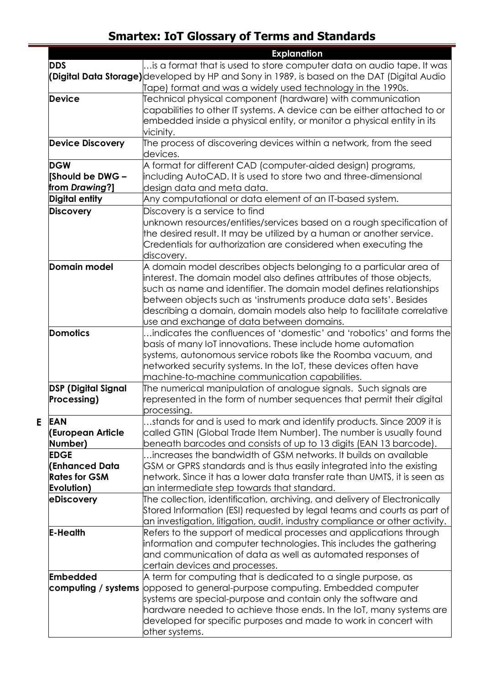|                            | <b>Explanation</b>                                                                          |
|----------------------------|---------------------------------------------------------------------------------------------|
| <b>DDS</b>                 | is a format that is used to store computer data on audio tape. It was                       |
|                            | (Digital Data Storage) developed by HP and Sony in 1989, is based on the DAT (Digital Audio |
|                            | Tape) format and was a widely used technology in the 1990s.                                 |
| <b>Device</b>              | Technical physical component (hardware) with communication                                  |
|                            | capabilities to other IT systems. A device can be either attached to or                     |
|                            | embedded inside a physical entity, or monitor a physical entity in its                      |
|                            | vicinity.                                                                                   |
| <b>Device Discovery</b>    | The process of discovering devices within a network, from the seed $\,$                     |
|                            | devices.                                                                                    |
| <b>DGW</b>                 | A format for different CAD (computer-aided design) programs,                                |
| <b>Should be DWG -</b>     | including AutoCAD. It is used to store two and three-dimensional                            |
| from Drawing?]             | design data and meta data.                                                                  |
| <b>Digital entity</b>      | Any computational or data element of an IT-based system.                                    |
| <b>Discovery</b>           | Discovery is a service to find                                                              |
|                            | unknown resources/entities/services based on a rough specification of                       |
|                            | the desired result. It may be utilized by a human or another service.                       |
|                            | Credentials for authorization are considered when executing the                             |
|                            | discovery.                                                                                  |
| Domain model               | A domain model describes objects belonging to a particular area of                          |
|                            | interest. The domain model also defines attributes of those objects,                        |
|                            | such as name and identifier. The domain model defines relationships                         |
|                            | between objects such as 'instruments produce data sets'. Besides                            |
|                            | describing a domain, domain models also help to facilitate correlative                      |
|                            | use and exchange of data between domains.                                                   |
| <b>Domotics</b>            | indicates the confluences of 'domestic' and 'robotics' and forms the                        |
|                            | basis of many loT innovations. These include home automation                                |
|                            | systems, autonomous service robots like the Roomba vacuum, and                              |
|                            | networked security systems. In the IoT, these devices often have                            |
|                            | machine-to-machine communication capabilities.                                              |
| <b>DSP</b> (Digital Signal | The numerical manipulation of analogue signals. Such signals are                            |
| <b>Processing)</b>         | represented in the form of number sequences that permit their digital                       |
|                            | processing.                                                                                 |
| <b>EAN</b>                 | stands for and is used to mark and identify products. Since 2009 it is                      |
| (European Article          | called GTIN (Global Trade Item Number). The number is usually found                         |
| Number)                    | beneath barcodes and consists of up to 13 digits (EAN 13 barcode).                          |
| <b>EDGE</b>                | increases the bandwidth of GSM networks. It builds on available.                            |
| <b>(Enhanced Data</b>      | GSM or GPRS standards and is thus easily integrated into the existing                       |
| <b>Rates for GSM</b>       | hetwork. Since it has a lower data transfer rate than UMTS, it is seen as                   |
| Evolution)                 | an intermediate step towards that standard.                                                 |
| eDiscovery                 | The collection, identification, archiving, and delivery of Electronically                   |
|                            | Stored Information (ESI) requested by legal teams and courts as part of                     |
|                            | an investigation, litigation, audit, industry compliance or other activity.                 |
| <b>E-Health</b>            | Refers to the support of medical processes and applications through                         |
|                            | information and computer technologies. This includes the gathering                          |
|                            | and communication of data as well as automated responses of                                 |
|                            | certain devices and processes.                                                              |
| <b>Embedded</b>            | A term for computing that is dedicated to a single purpose, as                              |
|                            |                                                                                             |
|                            | <b>computing / systems</b> opposed to general-purpose computing. Embedded computer          |
|                            | systems are special-purpose and contain only the software and                               |
|                            | hardware needed to achieve those ends. In the IoT, many systems are                         |
|                            | developed for specific purposes and made to work in concert with                            |
|                            | other systems.                                                                              |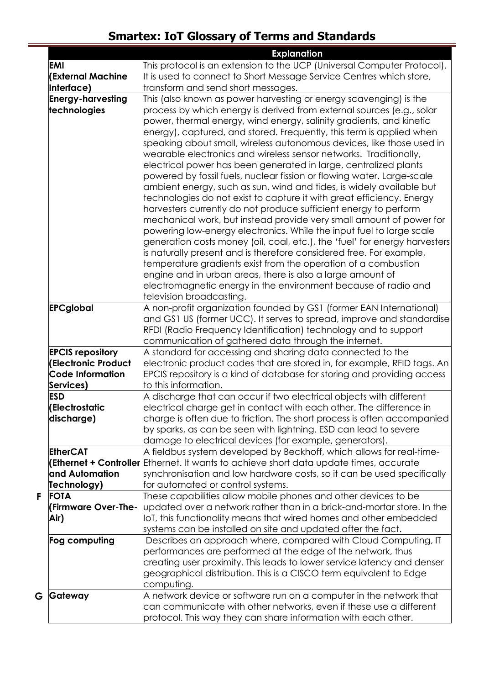|   |                                                                                               | <b>Explanation</b>                                                                                                                                                                                                                                                                                                                                                                                                                                                                                                                                                                                                                                                                                                                                                                                                                                                                                                                                                                                                                                                                                                                                                                                                                             |
|---|-----------------------------------------------------------------------------------------------|------------------------------------------------------------------------------------------------------------------------------------------------------------------------------------------------------------------------------------------------------------------------------------------------------------------------------------------------------------------------------------------------------------------------------------------------------------------------------------------------------------------------------------------------------------------------------------------------------------------------------------------------------------------------------------------------------------------------------------------------------------------------------------------------------------------------------------------------------------------------------------------------------------------------------------------------------------------------------------------------------------------------------------------------------------------------------------------------------------------------------------------------------------------------------------------------------------------------------------------------|
|   | <b>EMI</b>                                                                                    | This protocol is an extension to the UCP (Universal Computer Protocol).                                                                                                                                                                                                                                                                                                                                                                                                                                                                                                                                                                                                                                                                                                                                                                                                                                                                                                                                                                                                                                                                                                                                                                        |
|   | <b>(External Machine</b>                                                                      | It is used to connect to Short Message Service Centres which store,                                                                                                                                                                                                                                                                                                                                                                                                                                                                                                                                                                                                                                                                                                                                                                                                                                                                                                                                                                                                                                                                                                                                                                            |
|   | Interface)                                                                                    | transform and send short messages.                                                                                                                                                                                                                                                                                                                                                                                                                                                                                                                                                                                                                                                                                                                                                                                                                                                                                                                                                                                                                                                                                                                                                                                                             |
|   | <b>Energy-harvesting</b><br>technologies                                                      | This (also known as power harvesting or energy scavenging) is the<br>process by which energy is derived from external sources (e.g., solar<br>power, thermal energy, wind energy, salinity gradients, and kinetic<br>energy), captured, and stored. Frequently, this term is applied when<br>speaking about small, wireless autonomous devices, like those used in<br>wearable electronics and wireless sensor networks. Traditionally,<br>electrical power has been generated in large, centralized plants<br>powered by fossil fuels, nuclear fission or flowing water. Large-scale<br>ambient energy, such as sun, wind and tides, is widely available but<br>technologies do not exist to capture it with great efficiency. Energy<br>harvesters currently do not produce sufficient energy to perform<br>mechanical work, but instead provide very small amount of power for<br>powering low-energy electronics. While the input fuel to large scale<br>generation costs money (oil, coal, etc.), the 'fuel' for energy harvesters<br>is naturally present and is therefore considered free. For example,<br>temperature gradients exist from the operation of a combustion<br>engine and in urban areas, there is also a large amount of |
|   |                                                                                               | electromagnetic energy in the environment because of radio and<br>television broadcasting.                                                                                                                                                                                                                                                                                                                                                                                                                                                                                                                                                                                                                                                                                                                                                                                                                                                                                                                                                                                                                                                                                                                                                     |
|   | <b>EPCglobal</b>                                                                              | A non-profit organization founded by GS1 (former EAN International)                                                                                                                                                                                                                                                                                                                                                                                                                                                                                                                                                                                                                                                                                                                                                                                                                                                                                                                                                                                                                                                                                                                                                                            |
|   |                                                                                               | and GS1 US (former UCC). It serves to spread, improve and standardise<br>RFDI (Radio Frequency Identification) technology and to support<br>communication of gathered data through the internet.                                                                                                                                                                                                                                                                                                                                                                                                                                                                                                                                                                                                                                                                                                                                                                                                                                                                                                                                                                                                                                               |
|   | <b>EPCIS repository</b><br><b>(Electronic Product</b><br><b>Code Information</b><br>Services) | A standard for accessing and sharing data connected to the<br>electronic product codes that are stored in, for example, RFID tags. An<br>EPCIS repository is a kind of database for storing and providing access<br>to this information.                                                                                                                                                                                                                                                                                                                                                                                                                                                                                                                                                                                                                                                                                                                                                                                                                                                                                                                                                                                                       |
|   | <b>ESD</b><br>(Electrostatic<br>discharge)                                                    | A discharge that can occur if two electrical objects with different<br>electrical charge get in contact with each other. The difference in<br>charge is often due to friction. The short process is often accompanied<br>by sparks, as can be seen with lightning. ESD can lead to severe<br>damage to electrical devices (for example, generators).                                                                                                                                                                                                                                                                                                                                                                                                                                                                                                                                                                                                                                                                                                                                                                                                                                                                                           |
|   | <b>EtherCAT</b>                                                                               | A fieldbus system developed by Beckhoff, which allows for real-time-                                                                                                                                                                                                                                                                                                                                                                                                                                                                                                                                                                                                                                                                                                                                                                                                                                                                                                                                                                                                                                                                                                                                                                           |
|   |                                                                                               | <b>[Ethernet + Controller</b> Ethernet. It wants to achieve short data update times, accurate                                                                                                                                                                                                                                                                                                                                                                                                                                                                                                                                                                                                                                                                                                                                                                                                                                                                                                                                                                                                                                                                                                                                                  |
|   | and Automation                                                                                | synchronisation and low hardware costs, so it can be used specifically                                                                                                                                                                                                                                                                                                                                                                                                                                                                                                                                                                                                                                                                                                                                                                                                                                                                                                                                                                                                                                                                                                                                                                         |
|   | Technology)                                                                                   | for automated or control systems.                                                                                                                                                                                                                                                                                                                                                                                                                                                                                                                                                                                                                                                                                                                                                                                                                                                                                                                                                                                                                                                                                                                                                                                                              |
| F | <b>FOTA</b>                                                                                   | These capabilities allow mobile phones and other devices to be                                                                                                                                                                                                                                                                                                                                                                                                                                                                                                                                                                                                                                                                                                                                                                                                                                                                                                                                                                                                                                                                                                                                                                                 |
|   | <b>(Firmware Over-The-</b>                                                                    | updated over a network rather than in a brick-and-mortar store. In the                                                                                                                                                                                                                                                                                                                                                                                                                                                                                                                                                                                                                                                                                                                                                                                                                                                                                                                                                                                                                                                                                                                                                                         |
|   | Air)                                                                                          | OT, this functionality means that wired homes and other embedded                                                                                                                                                                                                                                                                                                                                                                                                                                                                                                                                                                                                                                                                                                                                                                                                                                                                                                                                                                                                                                                                                                                                                                               |
|   |                                                                                               | systems can be installed on site and updated after the fact.                                                                                                                                                                                                                                                                                                                                                                                                                                                                                                                                                                                                                                                                                                                                                                                                                                                                                                                                                                                                                                                                                                                                                                                   |
|   | Fog computing                                                                                 | Describes an approach where, compared with Cloud Computing, IT<br>performances are performed at the edge of the network, thus<br>creating user proximity. This leads to lower service latency and denser<br>geographical distribution. This is a CISCO term equivalent to Edge                                                                                                                                                                                                                                                                                                                                                                                                                                                                                                                                                                                                                                                                                                                                                                                                                                                                                                                                                                 |
| G | Gateway                                                                                       | computing.<br>A network device or software run on a computer in the network that<br>$\,$ can communicate with other networks, even if these use a different                                                                                                                                                                                                                                                                                                                                                                                                                                                                                                                                                                                                                                                                                                                                                                                                                                                                                                                                                                                                                                                                                    |
|   |                                                                                               | protocol. This way they can share information with each other.                                                                                                                                                                                                                                                                                                                                                                                                                                                                                                                                                                                                                                                                                                                                                                                                                                                                                                                                                                                                                                                                                                                                                                                 |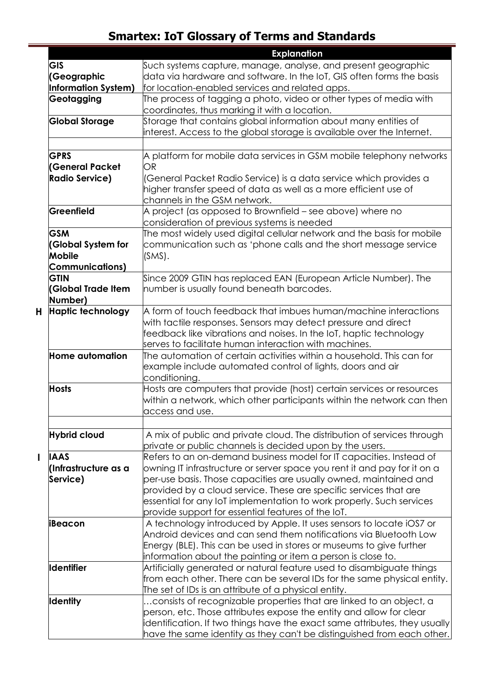|              |                           | <b>Explanation</b>                                                                                                                  |
|--------------|---------------------------|-------------------------------------------------------------------------------------------------------------------------------------|
|              | <b>GIS</b>                | Such systems capture, manage, analyse, and present geographic                                                                       |
|              | (Geographic               | data via hardware and software. In the IoT, GIS often forms the basis                                                               |
|              | Information System)       | for location-enabled services and related apps.                                                                                     |
|              | Geotagging                | The process of tagging a photo, video or other types of media with                                                                  |
|              |                           | coordinates, thus marking it with a location.                                                                                       |
|              | <b>Global Storage</b>     | Storage that contains global information about many entities of                                                                     |
|              |                           | interest. Access to the global storage is available over the Internet.                                                              |
|              |                           |                                                                                                                                     |
|              | <b>GPRS</b>               | A platform for mobile data services in GSM mobile telephony networks                                                                |
|              | <b>(General Packet</b>    | OR                                                                                                                                  |
|              | <b>Radio Service)</b>     | (General Packet Radio Service) is a data service which provides a                                                                   |
|              |                           | higher transfer speed of data as well as a more efficient use of                                                                    |
|              |                           | channels in the GSM network.                                                                                                        |
|              | Greenfield                | A project (as opposed to Brownfield – see above) where no                                                                           |
|              |                           | consideration of previous systems is needed                                                                                         |
|              | <b>GSM</b>                | The most widely used digital cellular network and the basis for mobile                                                              |
|              | <b>(Global System for</b> | communication such as 'phone calls and the short message service                                                                    |
|              | <b>Mobile</b>             | $(SMS)$ .                                                                                                                           |
|              | <b>Communications)</b>    |                                                                                                                                     |
|              | <b>GTIN</b>               | Since 2009 GTIN has replaced EAN (European Article Number). The                                                                     |
|              | <b>(Global Trade Item</b> | number is usually found beneath barcodes.                                                                                           |
|              | Number)                   |                                                                                                                                     |
| н            | <b>Haptic technology</b>  | A form of touch feedback that imbues human/machine interactions                                                                     |
|              |                           | with tactile responses. Sensors may detect pressure and direct                                                                      |
|              |                           | feedback like vibrations and noises. In the IoT, haptic technology                                                                  |
|              |                           | serves to facilitate human interaction with machines.                                                                               |
|              | <b>Home automation</b>    | The automation of certain activities within a household. This can for                                                               |
|              |                           | example include automated control of lights, doors and air                                                                          |
|              |                           | conditioning.                                                                                                                       |
|              | <b>Hosts</b>              | Hosts are computers that provide (host) certain services or resources                                                               |
|              |                           | within a network, which other participants within the network can then                                                              |
|              |                           | access and use.                                                                                                                     |
|              |                           |                                                                                                                                     |
|              | <b>Hybrid cloud</b>       | A mix of public and private cloud. The distribution of services through<br>private or public channels is decided upon by the users. |
| $\mathbf{I}$ | <b>IAAS</b>               | Refers to an on-demand business model for IT capacities. Instead of                                                                 |
|              | (Infrastructure as a      | owning IT infrastructure or server space you rent it and pay for it on a                                                            |
|              | Service)                  | per-use basis. Those capacities are usually owned, maintained and                                                                   |
|              |                           | provided by a cloud service. These are specific services that are                                                                   |
|              |                           | essential for any IoT implementation to work properly. Such services                                                                |
|              |                           | provide support for essential features of the IoT.                                                                                  |
|              | iBeacon                   | A technology introduced by Apple. It uses sensors to locate iOS7 or                                                                 |
|              |                           | Android devices and can send them notifications via Bluetooth Low                                                                   |
|              |                           | Energy (BLE). This can be used in stores or museums to give further                                                                 |
|              |                           | information about the painting or item a person is close to.                                                                        |
|              | <b>Identifier</b>         | Artificially generated or natural feature used to disambiguate things                                                               |
|              |                           | from each other. There can be several IDs for the same physical entity.                                                             |
|              |                           | The set of IDs is an attribute of a physical entity.                                                                                |
|              | <b>Identity</b>           | consists of recognizable properties that are linked to an object, a                                                                 |
|              |                           | person, etc. Those attributes expose the entity and allow for clear                                                                 |
|              |                           | identification. If two things have the exact same attributes, they usually                                                          |
|              |                           | have the same identity as they can't be distinguished from each other.                                                              |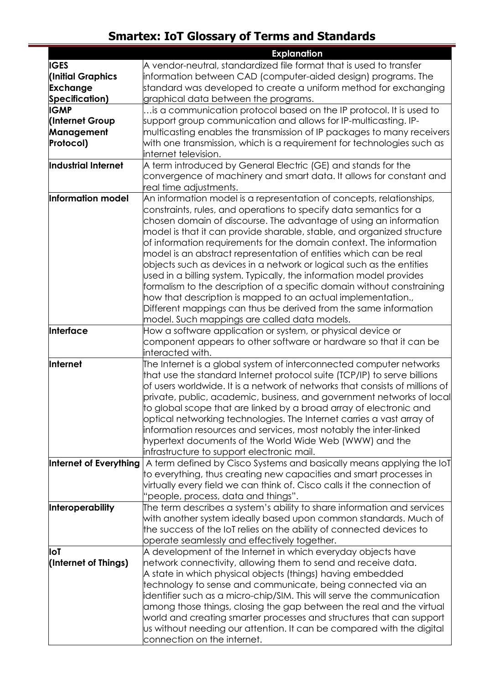|                        | <b>Explanation</b>                                                                                                                         |
|------------------------|--------------------------------------------------------------------------------------------------------------------------------------------|
| <b>IGES</b>            |                                                                                                                                            |
| (Initial Graphics      | information between CAD (computer-aided design) programs. The                                                                              |
| <b>Exchange</b>        | standard was developed to create a uniform method for exchanging                                                                           |
| Specification)         | graphical data between the programs.                                                                                                       |
| <b>IGMP</b>            | is a communication protocol based on the IP protocol. It is used to                                                                        |
| <b>Internet Group</b>  | support group communication and allows for IP-multicasting. IP-                                                                            |
| Management             | multicasting enables the transmission of IP packages to many receivers                                                                     |
| Protocol)              | with one transmission, which is a requirement for technologies such as                                                                     |
|                        | <b>i</b> nternet television.                                                                                                               |
| Industrial Internet    | A term introduced by General Electric (GE) and stands for the                                                                              |
|                        | convergence of machinery and smart data. It allows for constant and                                                                        |
|                        | real time adjustments.                                                                                                                     |
| Information model      | An information model is a representation of concepts, relationships,                                                                       |
|                        | constraints, rules, and operations to specify data semantics for a                                                                         |
|                        | chosen domain of discourse. The advantage of using an information                                                                          |
|                        | model is that it can provide sharable, stable, and organized structure                                                                     |
|                        | of information requirements for the domain context. The information                                                                        |
|                        | model is an abstract representation of entities which can be real                                                                          |
|                        | objects such as devices in a network or logical such as the entities                                                                       |
|                        | used in a billing system. Typically, the information model provides                                                                        |
|                        | formalism to the description of a specific domain without constraining                                                                     |
|                        | how that description is mapped to an actual implementation.,                                                                               |
|                        | Different mappings can thus be derived from the same information                                                                           |
|                        | model. Such mappings are called data models.                                                                                               |
| Interface              | How a software application or system, or physical device or                                                                                |
|                        | component appears to other software or hardware so that it can be                                                                          |
|                        | interacted with.                                                                                                                           |
| Internet               | The Internet is a global system of interconnected computer networks                                                                        |
|                        | that use the standard Internet protocol suite (TCP/IP) to serve billions                                                                   |
|                        | of users worldwide. It is a network of networks that consists of millions of                                                               |
|                        | private, public, academic, business, and government networks of local                                                                      |
|                        | to global scope that are linked by a broad array of electronic and                                                                         |
|                        | optical networking technologies. The Internet carries a vast array of                                                                      |
|                        | information resources and services, most notably the inter-linked                                                                          |
|                        | hypertext documents of the World Wide Web (WWW) and the                                                                                    |
|                        | infrastructure to support electronic mail.                                                                                                 |
| Internet of Everything | A term defined by Cisco Systems and basically means applying the IoT<br>to everything, thus creating new capacities and smart processes in |
|                        | virtually every field we can think of. Cisco calls it the connection of                                                                    |
|                        | 'people, process, data and things".                                                                                                        |
| Interoperability       | The term describes a system's ability to share information and services                                                                    |
|                        | with another system ideally based upon common standards. Much of                                                                           |
|                        | the success of the IoT relies on the ability of connected devices to                                                                       |
|                        | operate seamlessly and effectively together.                                                                                               |
| loT                    | A development of the Internet in which everyday objects have                                                                               |
| (Internet of Things)   | hetwork connectivity, allowing them to send and receive data.                                                                              |
|                        | A state in which physical objects (things) having embedded                                                                                 |
|                        | technology to sense and communicate, being connected via an                                                                                |
|                        | identifier such as a micro-chip/SIM. This will serve the communication                                                                     |
|                        | among those things, closing the gap between the real and the virtual                                                                       |
|                        | world and creating smarter processes and structures that can support                                                                       |
|                        | us without needing our attention. It can be compared with the digital                                                                      |
|                        | connection on the internet.                                                                                                                |
|                        |                                                                                                                                            |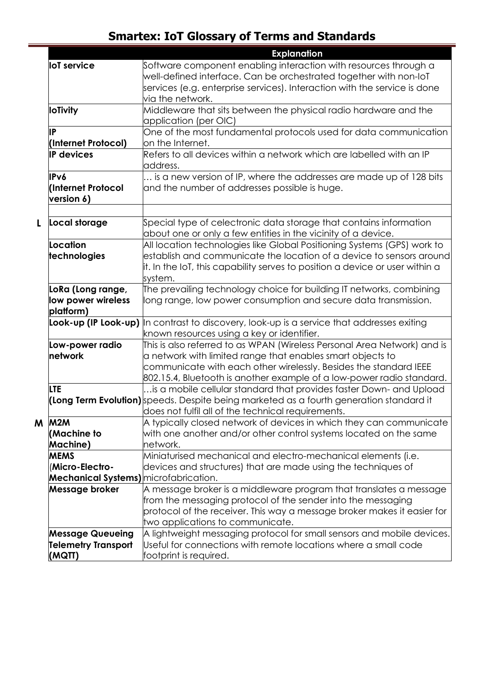|   |                                              | <b>Explanation</b>                                                                                |
|---|----------------------------------------------|---------------------------------------------------------------------------------------------------|
|   | <b>IoT</b> service                           | Software component enabling interaction with resources through a                                  |
|   |                                              | well-defined interface. Can be orchestrated together with non-loT                                 |
|   |                                              | services (e.g. enterprise services). Interaction with the service is done                         |
|   |                                              | via the network.                                                                                  |
|   | <b>IoTivity</b>                              | Middleware that sits between the physical radio hardware and the                                  |
|   |                                              | application (per OIC)                                                                             |
|   | IP                                           | One of the most fundamental protocols used for data communication                                 |
|   | (Internet Protocol)                          | on the Internet.                                                                                  |
|   | <b>IP devices</b>                            | Refers to all devices within a network which are labelled with an IP                              |
|   |                                              | address.                                                                                          |
|   | <b>IPv6</b>                                  | is a new version of IP, where the addresses are made up of 128 bits                               |
|   | (Internet Protocol                           | and the number of addresses possible is huge.                                                     |
|   | version 6)                                   |                                                                                                   |
|   |                                              |                                                                                                   |
| L | Local storage                                | Special type of celectronic data storage that contains information                                |
|   |                                              | about one or only a few entities in the vicinity of a device.                                     |
|   | Location                                     | All location technologies like Global Positioning Systems (GPS) work to                           |
|   | technologies                                 | establish and communicate the location of a device to sensors around                              |
|   |                                              | it. In the IoT, this capability serves to position a device or user within a                      |
|   |                                              | system.                                                                                           |
|   | LoRa (Long range,                            | The prevailing technology choice for building IT networks, combining                              |
|   | low power wireless                           | long range, low power consumption and secure data transmission.                                   |
|   | platform)                                    |                                                                                                   |
|   |                                              | <b>Look-up (IP Look-up)</b> In contrast to discovery, look-up is a service that addresses exiting |
|   |                                              | known resources using a key or identifier.                                                        |
|   | Low-power radio                              | This is also referred to as WPAN (Wireless Personal Area Network) and is                          |
|   | network                                      | $\alpha$ network with limited range that enables smart objects to                                 |
|   |                                              | communicate with each other wirelessly. Besides the standard IEEE                                 |
|   |                                              | 802.15.4, Bluetooth is another example of a low-power radio standard.                             |
|   | LTE.                                         | is a mobile cellular standard that provides faster Down- and Upload                               |
|   |                                              | (Long Term Evolution) speeds. Despite being marketed as a fourth generation standard it           |
|   |                                              | does not fulfil all of the technical requirements.                                                |
| M | M2M                                          | A typically closed network of devices in which they can communicate                               |
|   | (Machine to                                  | with one another and/or other control systems located on the same                                 |
|   | Machine)                                     | network.                                                                                          |
|   | <b>MEMS</b>                                  | Miniaturised mechanical and electro-mechanical elements (i.e.                                     |
|   | <b>Micro-Electro-</b>                        | devices and structures) that are made using the techniques of                                     |
|   | <b>Mechanical Systems)</b> microfabrication. |                                                                                                   |
|   | Message broker                               | A message broker is a middleware program that translates a message                                |
|   |                                              | from the messaging protocol of the sender into the messaging                                      |
|   |                                              | protocol of the receiver. This way a message broker makes it easier for                           |
|   |                                              | two applications to communicate.                                                                  |
|   | <b>Message Queueing</b>                      | A lightweight messaging protocol for small sensors and mobile devices.                            |
|   | <b>Telemetry Transport</b>                   | Useful for connections with remote locations where a small code                                   |
|   | (MQTT)                                       | footprint is required.                                                                            |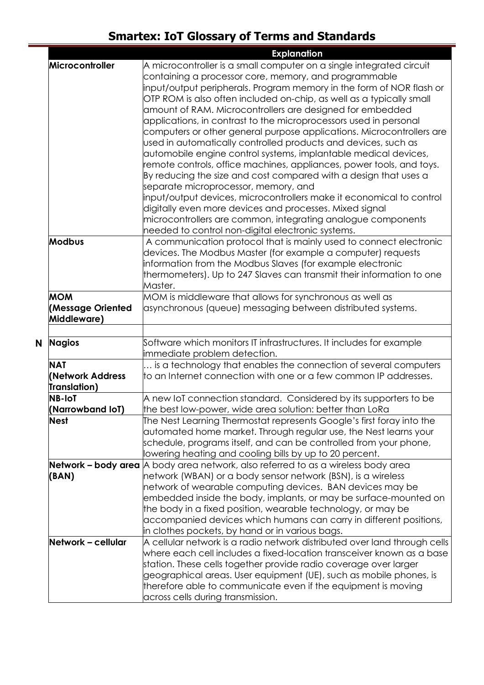|   |                                                | <b>Explanation</b>                                                                                                                                                                                                                                                                                                                                                                                                                                                                                                                                                                                                                                                                                                                                                                                                                                                                                                                                                                                                                                                        |
|---|------------------------------------------------|---------------------------------------------------------------------------------------------------------------------------------------------------------------------------------------------------------------------------------------------------------------------------------------------------------------------------------------------------------------------------------------------------------------------------------------------------------------------------------------------------------------------------------------------------------------------------------------------------------------------------------------------------------------------------------------------------------------------------------------------------------------------------------------------------------------------------------------------------------------------------------------------------------------------------------------------------------------------------------------------------------------------------------------------------------------------------|
|   | Microcontroller                                | A microcontroller is a small computer on a single integrated circuit<br>containing a processor core, memory, and programmable<br>input/output peripherals. Program memory in the form of NOR flash or<br>OTP ROM is also often included on-chip, as well as a typically small<br>amount of RAM. Microcontrollers are designed for embedded<br>applications, in contrast to the microprocessors used in personal<br>computers or other general purpose applications. Microcontrollers are<br>used in automatically controlled products and devices, such as<br>automobile engine control systems, implantable medical devices,<br>remote controls, office machines, appliances, power tools, and toys.<br>By reducing the size and cost compared with a design that uses a<br>separate microprocessor, memory, and<br>input/output devices, microcontrollers make it economical to control<br>digitally even more devices and processes. Mixed signal<br>microcontrollers are common, integrating analogue components<br>needed to control non-digital electronic systems. |
|   | <b>Modbus</b>                                  | A communication protocol that is mainly used to connect electronic<br>devices. The Modbus Master (for example a computer) requests<br>information from the Modbus Slaves (for example electronic<br>thermometers). Up to 247 Slaves can transmit their information to one<br>Master.                                                                                                                                                                                                                                                                                                                                                                                                                                                                                                                                                                                                                                                                                                                                                                                      |
|   | <b>MOM</b><br>(Message Oriented<br>Middleware) | MOM is middleware that allows for synchronous as well as<br>asynchronous (queue) messaging between distributed systems.                                                                                                                                                                                                                                                                                                                                                                                                                                                                                                                                                                                                                                                                                                                                                                                                                                                                                                                                                   |
| N | <b>Nagios</b>                                  | Software which monitors IT infrastructures. It includes for example<br>immediate problem detection.                                                                                                                                                                                                                                                                                                                                                                                                                                                                                                                                                                                                                                                                                                                                                                                                                                                                                                                                                                       |
|   | <b>NAT</b><br>Network Address<br>Translation)  | is a technology that enables the connection of several computers<br>to an Internet connection with one or a few common IP addresses.                                                                                                                                                                                                                                                                                                                                                                                                                                                                                                                                                                                                                                                                                                                                                                                                                                                                                                                                      |
|   | <b>NB-IoT</b><br>(Narrowband IoT)              | A new IoT connection standard. Considered by its supporters to be<br>the best low-power, wide area solution: better than LoRa                                                                                                                                                                                                                                                                                                                                                                                                                                                                                                                                                                                                                                                                                                                                                                                                                                                                                                                                             |
|   | <b>Nest</b>                                    | The Nest Learning Thermostat represents Google's first foray into the<br>automated home market. Through regular use, the Nest learns your<br>schedule, programs itself, and can be controlled from your phone,<br>lowering heating and cooling bills by up to 20 percent.                                                                                                                                                                                                                                                                                                                                                                                                                                                                                                                                                                                                                                                                                                                                                                                                 |
|   | (BAN)                                          | <b>Network – body area</b> A body area network, also referred to as a wireless body area<br>network (WBAN) or a body sensor network (BSN), is a wireless<br>network of wearable computing devices. BAN devices may be<br>embedded inside the body, implants, or may be surface-mounted on<br>the body in a fixed position, wearable technology, or may be<br>accompanied devices which humans can carry in different positions,<br>in clothes pockets, by hand or in various bags.                                                                                                                                                                                                                                                                                                                                                                                                                                                                                                                                                                                        |
|   | Network – cellular                             | A cellular network is a radio network distributed over land through cells<br>where each cell includes a fixed-location transceiver known as a base<br>station. These cells together provide radio coverage over larger<br>geographical areas. User equipment (UE), such as mobile phones, is<br>therefore able to communicate even if the equipment is moving<br>across cells during transmission.                                                                                                                                                                                                                                                                                                                                                                                                                                                                                                                                                                                                                                                                        |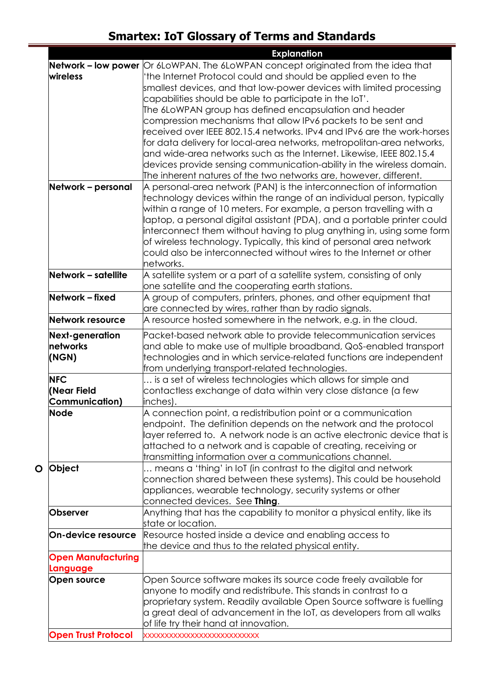|                            | <b>Explanation</b>                                                                       |
|----------------------------|------------------------------------------------------------------------------------------|
|                            | <b>Network - low power</b> Or 6LoWPAN. The 6LoWPAN concept originated from the idea that |
| wireless                   | 'the Internet Protocol could and should be applied even to the                           |
|                            | smallest devices, and that low-power devices with limited processing                     |
|                            | capabilities should be able to participate in the IoT'.                                  |
|                            | The 6LoWPAN group has defined encapsulation and header                                   |
|                            | compression mechanisms that allow IPv6 packets to be sent and                            |
|                            | eceived over IEEE 802.15.4 networks. IPv4 and IPv6 are the work-horses                   |
|                            | for data delivery for local-area networks, metropolitan-area networks,                   |
|                            | and wide-area networks such as the Internet. Likewise, IEEE 802.15.4 $\,$                |
|                            | devices provide sensing communication-ability in the wireless domain.                    |
|                            | The inherent natures of the two networks are, however, different.                        |
| Network - personal         | A personal-area network (PAN) is the interconnection of information                      |
|                            | technology devices within the range of an individual person, typically                   |
|                            | within a range of 10 meters. For example, a person travelling with a                     |
|                            | laptop, a personal digital assistant (PDA), and a portable printer could                 |
|                            | interconnect them without having to plug anything in, using some form                    |
|                            | of wireless technology. Typically, this kind of personal area network                    |
|                            | could also be interconnected without wires to the Internet or other                      |
|                            | networks.                                                                                |
| Network - satellite        | A satellite system or a part of a satellite system, consisting of only                   |
|                            | one satellite and the cooperating earth stations.                                        |
| Network – fixed            | A group of computers, printers, phones, and other equipment that                         |
|                            | are connected by wires, rather than by radio signals.                                    |
| Network resource           | A resource hosted somewhere in the network, e.g. in the cloud.                           |
| Next-generation            | Packet-based network able to provide telecommunication services                          |
| networks                   | and able to make use of multiple broadband, QoS-enabled transport                        |
| (NGN)                      | technologies and in which service-related functions are independent                      |
|                            | from underlying transport-related technologies.                                          |
| <b>NFC</b>                 | is a set of wireless technologies which allows for simple and                            |
| (Near Field                | contactless exchange of data within very close distance (a few                           |
| <b>Communication)</b>      | inches).                                                                                 |
| Node                       | A connection point, a redistribution point or a communication                            |
|                            | endpoint. The definition depends on the network and the protocol                         |
|                            | layer referred to. A network node is an active electronic device that is                 |
|                            | attached to a network and is capable of creating, receiving or                           |
|                            | transmitting information over a communications channel.                                  |
| Object<br>O                | means a 'thing' in lot (in contrast to the digital and network                           |
|                            | connection shared between these systems). This could be household                        |
|                            | appliances, wearable technology, security systems or other                               |
|                            | connected devices. See Thing.                                                            |
| <b>Observer</b>            | Anything that has the capability to monitor a physical entity, like its                  |
|                            | state or location.                                                                       |
| <b>On-device resource</b>  | Resource hosted inside a device and enabling access to                                   |
|                            | the device and thus to the related physical entity.                                      |
| <b>Open Manufacturing</b>  |                                                                                          |
| Language                   |                                                                                          |
| Open source                | Open Source software makes its source code freely available for                          |
|                            | anyone to modify and redistribute. This stands in contrast to a                          |
|                            | proprietary system. Readily available Open Source software is fuelling                   |
|                            | $\alpha$ great deal of advancement in the IoT, as developers from all walks              |
|                            | of life try their hand at innovation.                                                    |
| <b>Open Trust Protocol</b> | <b>XXXXXXXXXXXXXXXXXXXXXXXXXXX</b>                                                       |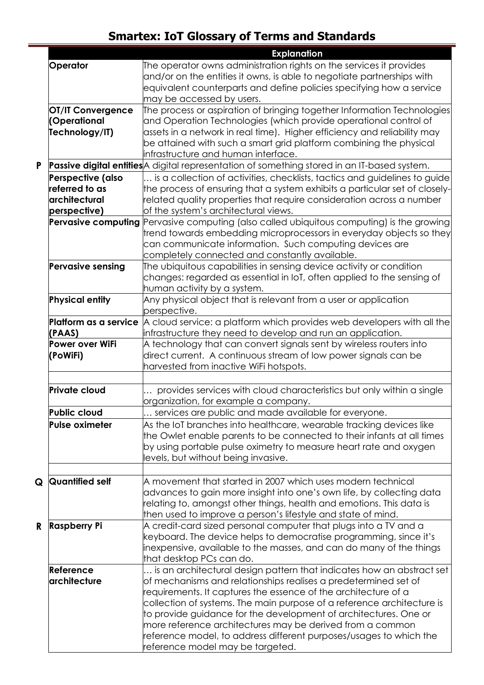|    |                            | <b>Explanation</b>                                                                                                    |
|----|----------------------------|-----------------------------------------------------------------------------------------------------------------------|
|    | Operator                   | The operator owns administration rights on the services it provides                                                   |
|    |                            | and/or on the entities it owns, is able to negotiate partnerships with                                                |
|    |                            | equivalent counterparts and define policies specifying how a service                                                  |
|    |                            | may be accessed by users.                                                                                             |
|    | <b>OT/IT Convergence</b>   | The process or aspiration of bringing together Information Technologies                                               |
|    | (Operational               | and Operation Technologies (which provide operational control of                                                      |
|    | Technology/IT)             | assets in a network in real time). Higher efficiency and reliability may                                              |
|    |                            | be attained with such a smart grid platform combining the physical                                                    |
|    |                            | infrastructure and human interface.                                                                                   |
| P  |                            | Passive digital entities A digital representation of something stored in an IT-based system.                          |
|    | Perspective (also          | is a collection of activities, checklists, tactics and guidelines to guide                                            |
|    | referred to as             | the process of ensuring that a system exhibits a particular set of closely-                                           |
|    | architectural              | related quality properties that require consideration across a number                                                 |
|    | perspective)               | of the system's architectural views.                                                                                  |
|    | <b>Pervasive computing</b> | Pervasive computing (also called ubiquitous computing) is the growing                                                 |
|    |                            | trend towards embedding microprocessors in everyday objects so they                                                   |
|    |                            | can communicate information. Such computing devices are                                                               |
|    |                            |                                                                                                                       |
|    | <b>Pervasive sensing</b>   | completely connected and constantly available.<br>The ubiquitous capabilities in sensing device activity or condition |
|    |                            | changes: regarded as essential in IoT, often applied to the sensing of                                                |
|    |                            |                                                                                                                       |
|    |                            | human activity by a system.                                                                                           |
|    | <b>Physical entity</b>     | Any physical object that is relevant from a user or application                                                       |
|    |                            | perspective.                                                                                                          |
|    | Platform as a service      | $\,$ a cloud service: a platform which provides web developers with all the                                           |
|    | (PAAS)                     | infrastructure they need to develop and run an application.                                                           |
|    | Power over WiFi            | A technology that can convert signals sent by wireless routers into                                                   |
|    | (PoWiFi)                   | direct current. A continuous stream of low power signals can be                                                       |
|    |                            | harvested from inactive WiFi hotspots.                                                                                |
|    |                            |                                                                                                                       |
|    | <b>Private cloud</b>       | provides services with cloud characteristics but only within a single                                                 |
|    |                            | organization, for example a company.                                                                                  |
|    | Public cloud               | services are public and made available for everyone                                                                   |
|    | Pulse oximeter             | As the IoT branches into healthcare, wearable tracking devices like                                                   |
|    |                            | the Owlet enable parents to be connected to their infants at all times                                                |
|    |                            | by using portable pulse oximetry to measure heart rate and oxygen                                                     |
|    |                            | levels, but without being invasive.                                                                                   |
|    |                            |                                                                                                                       |
| Q  | <b>Quantified self</b>     | A movement that started in 2007 which uses modern technical                                                           |
|    |                            | advances to gain more insight into one's own life, by collecting data                                                 |
|    |                            | relating to, amongst other things, health and emotions. This data is                                                  |
|    |                            | then used to improve a person's lifestyle and state of mind.                                                          |
| R. | <b>Raspberry Pi</b>        | A credit-card sized personal computer that plugs into a TV and a                                                      |
|    |                            | keyboard. The device helps to democratise programming, since it's                                                     |
|    |                            | inexpensive, available to the masses, and can do many of the things                                                   |
|    |                            | that desktop PCs can do.                                                                                              |
|    | Reference                  | is an architectural design pattern that indicates how an abstract set                                                 |
|    | architecture               | of mechanisms and relationships realises a predetermined set of                                                       |
|    |                            | requirements. It captures the essence of the architecture of a                                                        |
|    |                            | collection of systems. The main purpose of a reference architecture is                                                |
|    |                            | to provide guidance for the development of architectures. One or                                                      |
|    |                            | more reference architectures may be derived from a common                                                             |
|    |                            | reference model, to address different purposes/usages to which the                                                    |
|    |                            | reference model may be targeted.                                                                                      |
|    |                            |                                                                                                                       |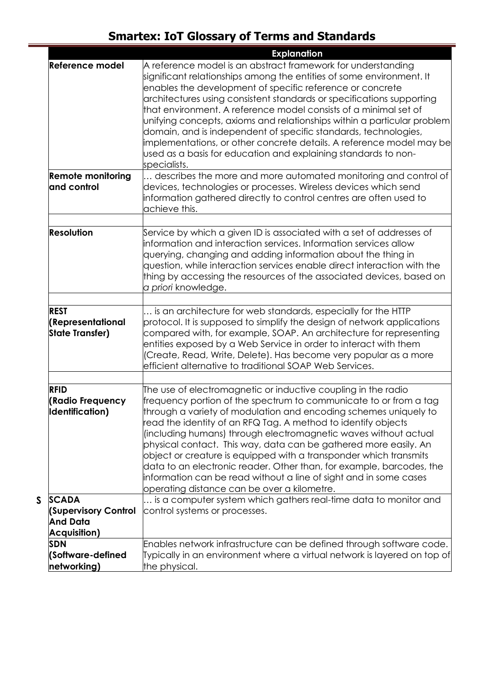|                                                            | <b>Explanation</b>                                                                                                                                                                                                                                                                                                                                                                                                                                                                                                                                                                                                                                                              |
|------------------------------------------------------------|---------------------------------------------------------------------------------------------------------------------------------------------------------------------------------------------------------------------------------------------------------------------------------------------------------------------------------------------------------------------------------------------------------------------------------------------------------------------------------------------------------------------------------------------------------------------------------------------------------------------------------------------------------------------------------|
| <b>Reference model</b>                                     | A reference model is an abstract framework for understanding<br>significant relationships among the entities of some environment. It<br>enables the development of specific reference or concrete<br>architectures using consistent standards or specifications supporting<br>that environment. A reference model consists of a minimal set of<br>unifying concepts, axioms and relationships within a particular problem<br>domain, and is independent of specific standards, technologies,<br>implementations, or other concrete details. A reference model may be<br>used as a basis for education and explaining standards to non-<br>specialists.                          |
| <b>Remote monitoring</b>                                   | describes the more and more automated monitoring and control of                                                                                                                                                                                                                                                                                                                                                                                                                                                                                                                                                                                                                 |
| and control                                                | devices, technologies or processes. Wireless devices which send<br>information gathered directly to control centres are often used to<br>achieve this.                                                                                                                                                                                                                                                                                                                                                                                                                                                                                                                          |
|                                                            |                                                                                                                                                                                                                                                                                                                                                                                                                                                                                                                                                                                                                                                                                 |
| <b>Resolution</b>                                          | Service by which a given ID is associated with a set of addresses of<br>information and interaction services. Information services allow<br>querying, changing and adding information about the thing in<br>question, while interaction services enable direct interaction with the<br>thing by accessing the resources of the associated devices, based on<br>a priori knowledge.                                                                                                                                                                                                                                                                                              |
| <b>REST</b>                                                | is an architecture for web standards, especially for the HTTP                                                                                                                                                                                                                                                                                                                                                                                                                                                                                                                                                                                                                   |
| (Representational<br><b>State Transfer)</b>                | protocol. It is supposed to simplify the design of network applications<br>compared with, for example, SOAP. An architecture for representing<br>entities exposed by a Web Service in order to interact with them<br>(Create, Read, Write, Delete). Has become very popular as a more<br>efficient alternative to traditional SOAP Web Services.                                                                                                                                                                                                                                                                                                                                |
|                                                            |                                                                                                                                                                                                                                                                                                                                                                                                                                                                                                                                                                                                                                                                                 |
| <b>RFID</b><br>(Radio Frequency<br><b>Identification</b> ) | The use of electromagnetic or inductive coupling in the radio<br>frequency portion of the spectrum to communicate to or from a tag<br>through a variety of modulation and encoding schemes uniquely to<br>read the identity of an RFQ Tag. A method to identify objects<br>(including humans) through electromagnetic waves without actual<br>physical contact. This way, data can be gathered more easily. An<br>object or creature is equipped with a transponder which transmits<br>data to an electronic reader. Other than, for example, barcodes, the<br>information can be read without a line of sight and in some cases<br>operating distance can be over a kilometre. |
| <b>SCADA</b>                                               | is a computer system which gathers real-time data to monitor and                                                                                                                                                                                                                                                                                                                                                                                                                                                                                                                                                                                                                |
| <b>(Supervisory Control</b><br><b>And Data</b>             | control systems or processes.                                                                                                                                                                                                                                                                                                                                                                                                                                                                                                                                                                                                                                                   |
| <b>Acquisition)</b>                                        |                                                                                                                                                                                                                                                                                                                                                                                                                                                                                                                                                                                                                                                                                 |
| <b>SDN</b>                                                 | Enables network infrastructure can be defined through software code.                                                                                                                                                                                                                                                                                                                                                                                                                                                                                                                                                                                                            |
| (Software-defined                                          | [Typically in an environment where a virtual network is layered on top of                                                                                                                                                                                                                                                                                                                                                                                                                                                                                                                                                                                                       |
| networking)                                                | the physical.                                                                                                                                                                                                                                                                                                                                                                                                                                                                                                                                                                                                                                                                   |

**S SCADA**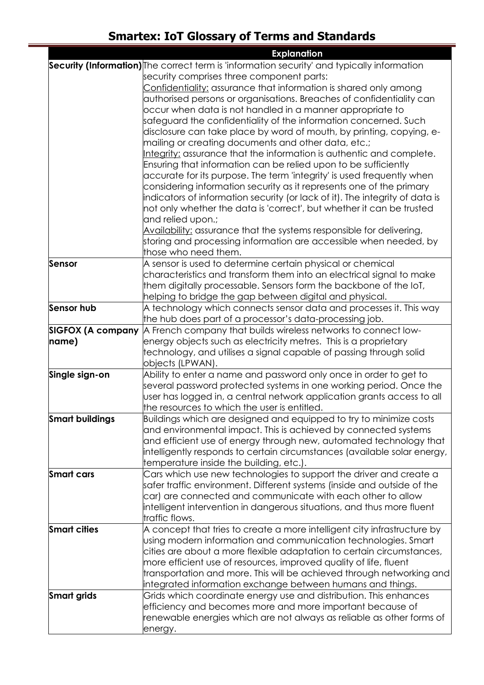|                        | <b>Explanation</b>                                                                          |
|------------------------|---------------------------------------------------------------------------------------------|
|                        | Security (Information) The correct term is 'information security' and typically information |
|                        | security comprises three component parts:                                                   |
|                        | Confidentiality: assurance that information is shared only among                            |
|                        | authorised persons or organisations. Breaches of confidentiality can                        |
|                        | occur when data is not handled in a manner appropriate to                                   |
|                        | safeguard the confidentiality of the information concerned. Such                            |
|                        | disclosure can take place by word of mouth, by printing, copying, e-                        |
|                        | mailing or creating documents and other data, etc.;                                         |
|                        | Integrity: assurance that the information is authentic and complete.                        |
|                        | Ensuring that information can be relied upon to be sufficiently                             |
|                        | accurate for its purpose. The term 'integrity' is used frequently when                      |
|                        | considering information security as it represents one of the primary                        |
|                        | indicators of information security (or lack of it). The integrity of data is                |
|                        | not only whether the data is 'correct', but whether it can be trusted                       |
|                        | and relied upon.;                                                                           |
|                        | Availability: assurance that the systems responsible for delivering,                        |
|                        | storing and processing information are accessible when needed, by                           |
|                        | those who need them.                                                                        |
| <b>Sensor</b>          | A sensor is used to determine certain physical or chemical                                  |
|                        | characteristics and transform them into an electrical signal to make                        |
|                        | them digitally processable. Sensors form the backbone of the loT,                           |
|                        | helping to bridge the gap between digital and physical.                                     |
| <b>Sensor hub</b>      | A technology which connects sensor data and processes it. This way                          |
|                        | the hub does part of a processor's data-processing job.                                     |
| SIGFOX (A company      | A French company that builds wireless networks to connect low-                              |
| name)                  | energy objects such as electricity metres. This is a proprietary                            |
|                        | technology, and utilises a signal capable of passing through solid<br>objects (LPWAN).      |
| Single sign-on         | Ability to enter a name and password only once in order to get to                           |
|                        | several password protected systems in one working period. Once the                          |
|                        | user has logged in, a central network application grants access to all                      |
|                        | the resources to which the user is entitled.                                                |
| <b>Smart buildings</b> | Buildings which are designed and equipped to try to minimize costs                          |
|                        | and environmental impact. This is achieved by connected systems                             |
|                        | and efficient use of energy through new, automated technology that                          |
|                        | intelligently responds to certain circumstances (available solar energy,                    |
|                        | temperature inside the building, etc.).                                                     |
| Smart cars             | Cars which use new technologies to support the driver and create a                          |
|                        | safer traffic environment. Different systems (inside and outside of the                     |
|                        | car) are connected and communicate with each other to allow                                 |
|                        | intelligent intervention in dangerous situations, and thus more fluent                      |
|                        | traffic flows.                                                                              |
| <b>Smart cities</b>    | A concept that tries to create a more intelligent city infrastructure by                    |
|                        | using modern information and communication technologies. Smart                              |
|                        | cities are about a more flexible adaptation to certain circumstances,                       |
|                        | more efficient use of resources, improved quality of life, fluent                           |
|                        | transportation and more. This will be achieved through networking and                       |
|                        | integrated information exchange between humans and things.                                  |
| <b>Smart grids</b>     | Grids which coordinate energy use and distribution. This enhances                           |
|                        | efficiency and becomes more and more important because of                                   |
|                        | renewable energies which are not always as reliable as other forms of                       |
|                        | energy.                                                                                     |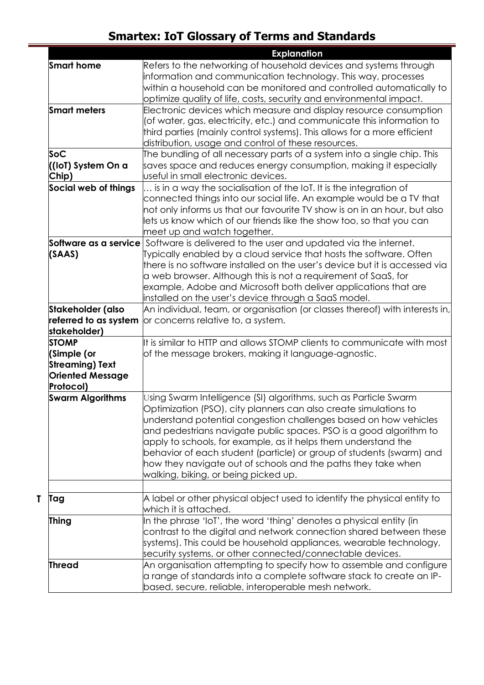|                                                                                               | <b>Explanation</b>                                                                                                                                                                                                                                                                                                                                                                                                                                                                                                                |
|-----------------------------------------------------------------------------------------------|-----------------------------------------------------------------------------------------------------------------------------------------------------------------------------------------------------------------------------------------------------------------------------------------------------------------------------------------------------------------------------------------------------------------------------------------------------------------------------------------------------------------------------------|
| <b>Smart home</b>                                                                             | Refers to the networking of household devices and systems through<br>information and communication technology. This way, processes                                                                                                                                                                                                                                                                                                                                                                                                |
|                                                                                               | optimize quality of life, costs, security and environmental impact.                                                                                                                                                                                                                                                                                                                                                                                                                                                               |
| <b>Smart meters</b>                                                                           | Electronic devices which measure and display resource consumption<br>(of water, gas, electricity, etc.) and communicate this information to<br>third parties (mainly control systems). This allows for a more efficient<br>distribution, usage and control of these resources.                                                                                                                                                                                                                                                    |
| Soc                                                                                           | The bundling of all necessary parts of a system into a single chip. This                                                                                                                                                                                                                                                                                                                                                                                                                                                          |
| ((IoT) System On a<br>Chip)                                                                   | saves space and reduces energy consumption, making it especially<br>useful in small electronic devices.                                                                                                                                                                                                                                                                                                                                                                                                                           |
| Social web of things                                                                          | is in a way the socialisation of the IoT. It is the integration of<br>connected things into our social life. An example would be a TV that<br>not only informs us that our favourite TV show is on in an hour, but also<br>lets us know which of our friends like the show too, so that you can<br>meet up and watch together.                                                                                                                                                                                                    |
| (SAAS)                                                                                        | <b>Software as a service</b> Software is delivered to the user and updated via the internet.<br>Typically enabled by a cloud service that hosts the software. Often<br>there is no software installed on the user's device but it is accessed via<br>a web browser. Although this is not a requirement of SaaS, for<br>example, Adobe and Microsoft both deliver applications that are<br>installed on the user's device through a SaaS model.                                                                                    |
| Stakeholder (also                                                                             | An individual, team, or organisation (or classes thereof) with interests in,                                                                                                                                                                                                                                                                                                                                                                                                                                                      |
| referred to as system<br>stakeholder)                                                         | or concerns relative to, a system.                                                                                                                                                                                                                                                                                                                                                                                                                                                                                                |
| <b>STOMP</b><br>(Simple (or<br><b>Streaming) Text</b><br><b>Oriented Message</b><br>Protocol) | It is similar to HTTP and allows STOMP clients to communicate with most<br>of the message brokers, making it language-agnostic.                                                                                                                                                                                                                                                                                                                                                                                                   |
| <b>Swarm Algorithms</b>                                                                       | Using Swarm Intelligence (SI) algorithms, such as Particle Swarm<br>Optimization (PSO), city planners can also create simulations to<br>understand potential congestion challenges based on how vehicles<br>and pedestrians navigate public spaces. PSO is a good algorithm to<br>apply to schools, for example, as it helps them understand the<br>behavior of each student (particle) or group of students (swarm) and<br>how they navigate out of schools and the paths they take when<br>walking, biking, or being picked up. |
|                                                                                               |                                                                                                                                                                                                                                                                                                                                                                                                                                                                                                                                   |
| Tag                                                                                           | $\,$ a label or other physical object used to identify the physical entity to<br>which it is attached.                                                                                                                                                                                                                                                                                                                                                                                                                            |
| <b>Thing</b>                                                                                  | In the phrase 'IoT', the word 'thing' denotes a physical entity (in<br>contrast to the digital and network connection shared between these<br>systems). This could be household appliances, wearable technology,<br>security systems, or other connected/connectable devices.                                                                                                                                                                                                                                                     |
| <b>Thread</b>                                                                                 | An organisation attempting to specify how to assemble and configure<br>a range of standards into a complete software stack to create an IP-<br>based, secure, reliable, interoperable mesh network.                                                                                                                                                                                                                                                                                                                               |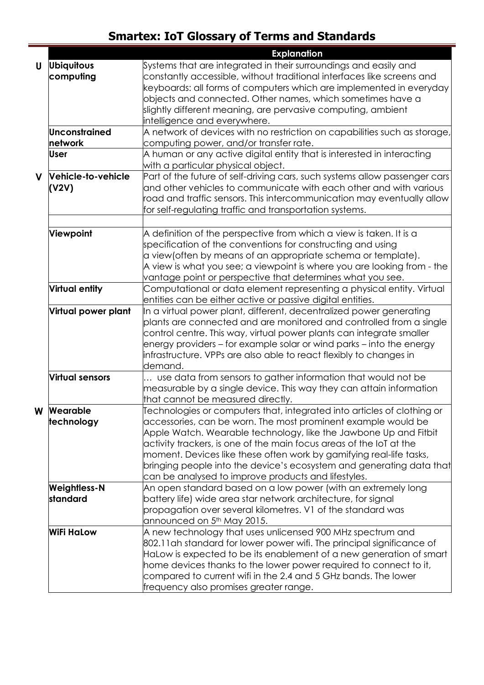|                        |                       | <b>Explanation</b>                                                         |  |  |  |
|------------------------|-----------------------|----------------------------------------------------------------------------|--|--|--|
| U                      | <b>Ubiquitous</b>     | Systems that are integrated in their surroundings and easily and           |  |  |  |
|                        | computing             | constantly accessible, without traditional interfaces like screens and     |  |  |  |
|                        |                       | keyboards: all forms of computers which are implemented in everyday        |  |  |  |
|                        |                       | objects and connected. Other names, which sometimes have a                 |  |  |  |
|                        |                       | slightly different meaning, are pervasive computing, ambient               |  |  |  |
|                        |                       | intelligence and everywhere.                                               |  |  |  |
|                        | <b>Unconstrained</b>  | A network of devices with no restriction on capabilities such as storage,  |  |  |  |
|                        | network               | computing power, and/or transfer rate.                                     |  |  |  |
|                        | User                  | A human or any active digital entity that is interested in interacting     |  |  |  |
|                        |                       | with a particular physical object.                                         |  |  |  |
| $\mathbf V$            | Vehicle-to-vehicle    | Part of the future of self-driving cars, such systems allow passenger cars |  |  |  |
|                        | (V2V)                 | and other vehicles to communicate with each other and with various $\,$    |  |  |  |
|                        |                       | oad and traffic sensors. This intercommunication may eventually allow      |  |  |  |
|                        |                       | for self-regulating traffic and transportation systems.                    |  |  |  |
|                        |                       |                                                                            |  |  |  |
|                        | <b>Viewpoint</b>      | A definition of the perspective from which a view is taken. It is a        |  |  |  |
|                        |                       | specification of the conventions for constructing and using                |  |  |  |
|                        |                       | a view(often by means of an appropriate schema or template).               |  |  |  |
|                        |                       | A view is what you see; a viewpoint is where you are looking from - the    |  |  |  |
|                        |                       | vantage point or perspective that determines what you see.                 |  |  |  |
|                        | <b>Virtual entity</b> | Computational or data element representing a physical entity. Virtual      |  |  |  |
|                        |                       | entities can be either active or passive digital entities.                 |  |  |  |
|                        | Virtual power plant   | In a virtual power plant, different, decentralized power generating        |  |  |  |
|                        |                       | plants are connected and are monitored and controlled from a single        |  |  |  |
|                        |                       | control centre. This way, virtual power plants can integrate smaller       |  |  |  |
|                        |                       | energy providers – for example solar or wind parks – into the energy       |  |  |  |
|                        |                       | infrastructure. VPPs are also able to react flexibly to changes in         |  |  |  |
|                        |                       | demand.                                                                    |  |  |  |
| <b>Virtual sensors</b> |                       | use data from sensors to gather information that would not be              |  |  |  |
|                        |                       | measurable by a single device. This way they can attain information        |  |  |  |
|                        |                       | that cannot be measured directly.                                          |  |  |  |
| W Wearable             |                       | Technologies or computers that, integrated into articles of clothing or    |  |  |  |
| technology             |                       | accessories, can be worn. The most prominent example would be              |  |  |  |
|                        |                       | Apple Watch. Wearable technology, like the Jawbone Up and Fitbit           |  |  |  |
|                        |                       | activity trackers, is one of the main focus areas of the IoT at the        |  |  |  |
|                        |                       | moment. Devices like these often work by gamifying real-life tasks,        |  |  |  |
|                        |                       | bringing people into the device's ecosystem and generating data that       |  |  |  |
|                        |                       | can be analysed to improve products and lifestyles.                        |  |  |  |
|                        | <b>Weightless-N</b>   | An open standard based on a low power (with an extremely long              |  |  |  |
|                        | standard              | battery life) wide area star network architecture, for signal              |  |  |  |
|                        |                       | propagation over several kilometres. V1 of the standard was                |  |  |  |
|                        |                       | announced on 5 <sup>th</sup> May 2015.                                     |  |  |  |
|                        | WiFi HaLow            | A new technology that uses unlicensed 900 MHz spectrum and                 |  |  |  |
|                        |                       | 802.11 ah standard for lower power wifi. The principal significance of     |  |  |  |
|                        |                       | Halow is expected to be its enablement of a new generation of smart        |  |  |  |
|                        |                       | home devices thanks to the lower power required to connect to it,          |  |  |  |
|                        |                       | compared to current wifi in the 2.4 and 5 GHz bands. The lower             |  |  |  |
|                        |                       | frequency also promises greater range.                                     |  |  |  |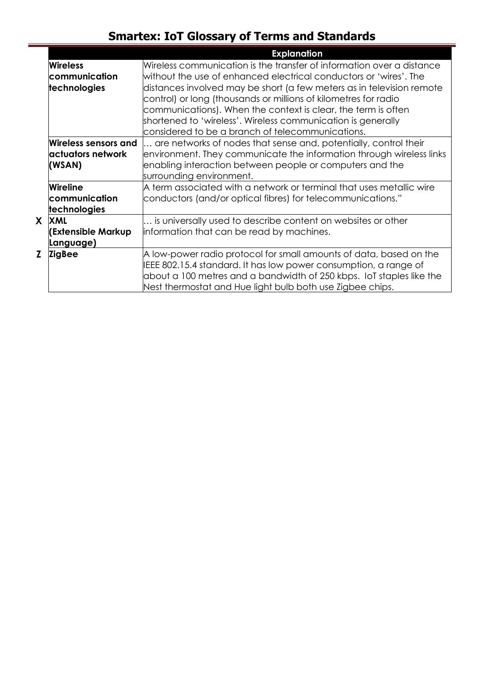|   |                                                      | <b>Explanation</b>                                                                                                                                                                                                                                                                                                            |  |  |  |
|---|------------------------------------------------------|-------------------------------------------------------------------------------------------------------------------------------------------------------------------------------------------------------------------------------------------------------------------------------------------------------------------------------|--|--|--|
|   | <b>Wireless</b>                                      | Wireless communication is the transfer of information over a distance                                                                                                                                                                                                                                                         |  |  |  |
|   | communication                                        | without the use of enhanced electrical conductors or 'wires'. The                                                                                                                                                                                                                                                             |  |  |  |
|   | technologies                                         | distances involved may be short (a few meters as in television remote<br>control) or long (thousands or millions of kilometres for radio<br>communications). When the context is clear, the term is often<br>shortened to 'wireless'. Wireless communication is generally<br>considered to be a branch of telecommunications. |  |  |  |
|   | Wireless sensors and<br>lactuators network<br>(WSAN) | are networks of nodes that sense and, potentially, control their<br>environment. They communicate the information through wireless links<br>enabling interaction between people or computers and the<br>surrounding environment.                                                                                              |  |  |  |
|   | <b>Wireline</b><br>communication<br>technologies     | A term associated with a network or terminal that uses metallic wire<br>conductors (and/or optical fibres) for telecommunications."                                                                                                                                                                                           |  |  |  |
|   | X XML<br>(Extensible Markup<br>Language)             | is universally used to describe content on websites or other<br>information that can be read by machines.                                                                                                                                                                                                                     |  |  |  |
| 7 | <b>ZigBee</b>                                        | A low-power radio protocol for small amounts of data, based on the<br>EEE 802.15.4 standard. It has low power consumption, a range of<br>about a 100 metres and a bandwidth of 250 kbps. IoT staples like the<br>Nest thermostat and Hue light bulb both use Zigbee chips.                                                    |  |  |  |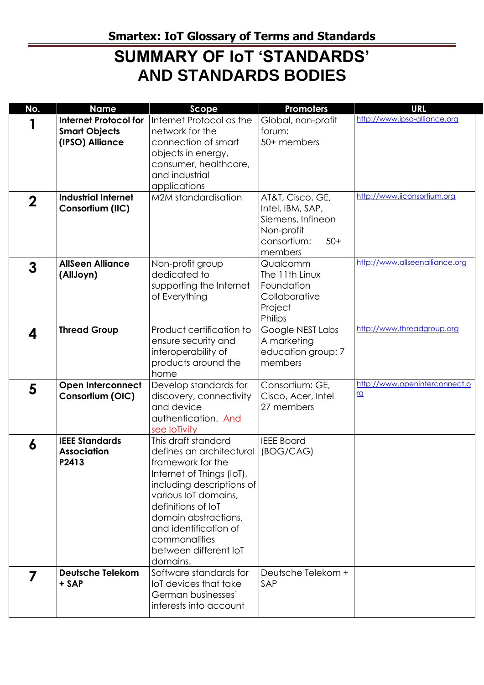## **SUMMARY OF IoT 'STANDARDS' AND STANDARDS BODIES**

| No.         | <b>Name</b>                                                             | Scope                                                                                                                                                                                                                                                                               | Promoters                                                                                                  | <b>URL</b>                                 |
|-------------|-------------------------------------------------------------------------|-------------------------------------------------------------------------------------------------------------------------------------------------------------------------------------------------------------------------------------------------------------------------------------|------------------------------------------------------------------------------------------------------------|--------------------------------------------|
|             | <b>Internet Protocol for</b><br><b>Smart Objects</b><br>(IPSO) Alliance | Internet Protocol as the<br>network for the<br>connection of smart<br>objects in energy,<br>consumer, healthcare,<br>and industrial<br>applications                                                                                                                                 | Global, non-profit<br>forum:<br>50+ members                                                                | http://www.ipso-alliance.org               |
| $\mathbf 2$ | <b>Industrial Internet</b><br>Consortium (IIC)                          | M2M standardisation                                                                                                                                                                                                                                                                 | AT&T, Cisco, GE,<br>Intel, IBM, SAP,<br>Siemens, Infineon<br>Non-profit<br>consortium:<br>$50+$<br>members | http://www.iiconsortium.org                |
| 3           | <b>AllSeen Alliance</b><br>(AllJoyn)                                    | Non-profit group<br>dedicated to<br>supporting the Internet<br>of Everything                                                                                                                                                                                                        | Qualcomm<br>The 11th Linux<br>Foundation<br>Collaborative<br>Project<br>Philips                            | http://www.allseenalliance.org             |
| 4           | <b>Thread Group</b>                                                     | Product certification to<br>ensure security and<br>interoperability of<br>products around the<br>home                                                                                                                                                                               | Google NEST Labs<br>A marketing<br>education group: 7<br>members                                           | http://www.threadgroup.org                 |
| 5           | <b>Open Interconnect</b><br>Consortium (OIC)                            | Develop standards for<br>discovery, connectivity<br>and device<br>authentication. And<br>see loTivity                                                                                                                                                                               | Consortium: GE,<br>Cisco, Acer, Intel<br>27 members                                                        | http://www.openinterconnect.o<br><u>rg</u> |
| 6           | <b>IEEE Standards</b><br><b>Association</b><br>P2413                    | This draft standard<br>defines an architectural<br>framework for the<br>Internet of Things (IoT),<br>including descriptions of<br>various IoT domains,<br>definitions of IoT<br>domain abstractions,<br>and identification of<br>commonalities<br>between different IoT<br>domains. | <b>IEEE Board</b><br>(BOG/CAG)                                                                             |                                            |
|             | <b>Deutsche Telekom</b><br>+ SAP                                        | Software standards for<br>loT devices that take<br>German businesses'<br>interests into account                                                                                                                                                                                     | Deutsche Telekom +<br>SAP                                                                                  |                                            |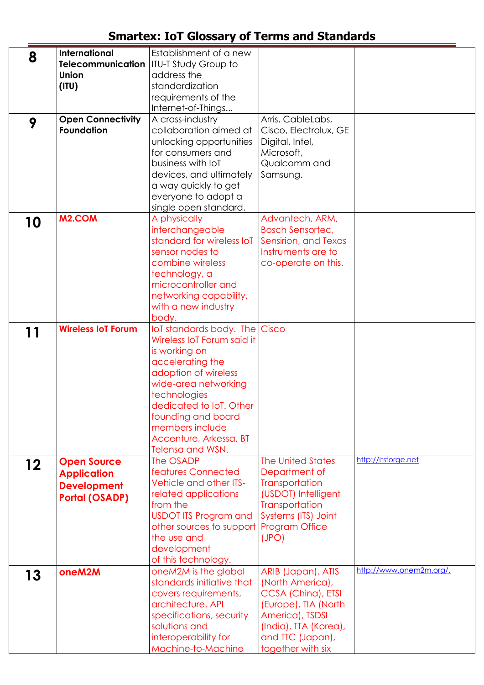| 8  | International             | Establishment of a new                  |                          |                         |
|----|---------------------------|-----------------------------------------|--------------------------|-------------------------|
|    | <b>Telecommunication</b>  | <b>ITU-T Study Group to</b>             |                          |                         |
|    | <b>Union</b>              | address the                             |                          |                         |
|    | (III)                     | standardization                         |                          |                         |
|    |                           | requirements of the                     |                          |                         |
|    |                           | Internet-of-Things                      |                          |                         |
| 9  | <b>Open Connectivity</b>  | A cross-industry                        | Arris, CableLabs,        |                         |
|    | <b>Foundation</b>         | collaboration aimed at                  | Cisco, Electrolux, GE    |                         |
|    |                           | unlocking opportunities                 | Digital, Intel,          |                         |
|    |                           | for consumers and                       | Microsoft,               |                         |
|    |                           | business with IoT                       | Qualcomm and             |                         |
|    |                           | devices, and ultimately                 | Samsung.                 |                         |
|    |                           |                                         |                          |                         |
|    |                           | a way quickly to get                    |                          |                         |
|    |                           | everyone to adopt a                     |                          |                         |
|    |                           | single open standard.                   |                          |                         |
| 10 | M <sub>2</sub> .COM       | A physically                            | Advantech, ARM,          |                         |
|    |                           | interchangeable                         | <b>Bosch Sensortec,</b>  |                         |
|    |                           | standard for wireless IoT               | Sensirion, and Texas     |                         |
|    |                           | sensor nodes to                         | Instruments are to       |                         |
|    |                           | combine wireless                        | co-operate on this.      |                         |
|    |                           | technology, a                           |                          |                         |
|    |                           | microcontroller and                     |                          |                         |
|    |                           | networking capability,                  |                          |                         |
|    |                           | with a new industry                     |                          |                         |
|    |                           | body.                                   |                          |                         |
|    | <b>Wireless IoT Forum</b> | loT standards body. The Cisco           |                          |                         |
| 11 |                           | Wireless IoT Forum said it              |                          |                         |
|    |                           | is working on                           |                          |                         |
|    |                           | accelerating the                        |                          |                         |
|    |                           | adoption of wireless                    |                          |                         |
|    |                           | wide-area networking                    |                          |                         |
|    |                           |                                         |                          |                         |
|    |                           | technologies                            |                          |                         |
|    |                           | dedicated to lot. Other                 |                          |                         |
|    |                           | founding and board                      |                          |                         |
|    |                           | members include                         |                          |                         |
|    |                           | Accenture, Arkessa, BT                  |                          |                         |
|    |                           | Telensa and WSN.                        |                          |                         |
| 12 | <b>Open Source</b>        | The OSADP                               | <b>The United States</b> | http://itsforge.net     |
|    | <b>Application</b>        | features Connected                      | Department of            |                         |
|    | <b>Development</b>        | Vehicle and other ITS-                  | Transportation           |                         |
|    | <b>Portal (OSADP)</b>     | related applications                    | (USDOT) Intelligent      |                         |
|    |                           | from the                                | <b>Transportation</b>    |                         |
|    |                           | <b>USDOT ITS Program and</b>            | Systems (ITS) Joint      |                         |
|    |                           | other sources to support Program Office |                          |                         |
|    |                           | the use and                             | (JPO)                    |                         |
|    |                           | development                             |                          |                         |
|    |                           | of this technology.                     |                          |                         |
|    | oneM2M                    | oneM2M is the global                    | ARIB (Japan), ATIS       | http://www.onem2m.org/. |
| 13 |                           | standards initiative that               | (North America),         |                         |
|    |                           | covers requirements,                    | CCSA (China), ETSI       |                         |
|    |                           | architecture, API                       | (Europe), TIA (North     |                         |
|    |                           | specifications, security                | America), TSDSI          |                         |
|    |                           | solutions and                           | (India), TTA (Korea),    |                         |
|    |                           |                                         |                          |                         |
|    |                           | interoperability for                    | and TTC (Japan),         |                         |
|    |                           | Machine-to-Machine                      | together with six        |                         |